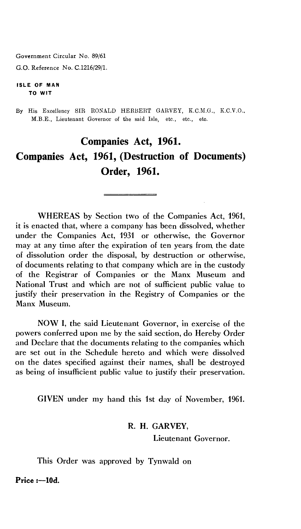Government Circular No. 89/61

G.O. Reference No. C.1216/29/1.

#### **ISLE OF MAN TO WIT**

By His Excellency SIR RONALD HERBERT GARVEY, K.C.M.G., K.C.V.O., M.B.E., Lieutenant Governor of the said Isle, etc., etc., etc.

# **Companies Act, 1961. Companies Act, 1961, (Destruction of Documents) Order, 1961.**

WHEREAS by Section two of the Companies Act, 1961, it is enacted that, where a company has been dissolved, whether under the Companies Act, 1931 or otherwise, the Governor may at any time after the expiration of ten years from the date of dissolution order the disposal, by destruction or otherwise, of documents relating to that company which are in the custody of the Registrar of Companies or the Manx Museum and National Trust and which are not of sufficient public value to justify their preservation in the Registry of Companies or the Manx Museum.

NOW I, the said Lieutenant Governor, in exercise of the powers conferred upon me by the said section, do Hereby Order and Declare that the documents relating to the companies which are set out in the Schedule hereto and which were dissolved on the dates specified against their names, shall be destroyed as being of insufficient public value to justify their preservation.

GIVEN under my hand this 1st day of November, 1961.

#### **R. H. GARVEY,**

**Lieutenant Governor.** 

**This Order was approved by Tynwald on** 

**Price :-10d.**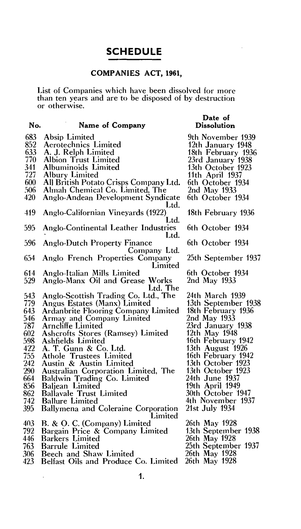# **SCHEDULE**

# **COMPANIES ACT, 1961,**

List of Companies which have been dissolved for more than ten years and are to be disposed of by destruction or otherwise.

| No. | Name of Company                                     | Date of<br>Dissolution |
|-----|-----------------------------------------------------|------------------------|
|     |                                                     |                        |
| 683 | Absip Limited                                       | 9th November 1939      |
| 852 | Aerotechnics Limited                                | 12th January 1948      |
| 633 | A. J. Relph Limited                                 | 18th February 1936     |
| 770 | Albion Trust Limited                                | 23rd January 1938      |
| 341 | Albuminoids Limited                                 | 13th October 1923      |
| 727 | Albury Limited                                      | 11th April 1937        |
| 600 | All British Potato Crisps Company Ltd.              | 6th October 1934       |
| 506 | Ahnah Chemical Co. Limited, The                     | 2nd May 1933           |
| 420 | Anglo-Andean Development Syndicate                  | 6th October 1934       |
|     | Ltd.                                                |                        |
| 419 | Anglo-Californian Vineyards (1922)                  | 18th February 1936     |
|     | Ltd.                                                |                        |
| 595 | Anglo-Continental Leather Industries                | 6th October 1934       |
| 596 | Ltd.                                                | 6th October 1934       |
|     | <b>Anglo-Dutch Property Finance</b><br>Company Ltd. |                        |
| 654 | Anglo French Properties Company                     | 25th September 1937    |
|     | Limited                                             |                        |
| 614 | Anglo-Italian Mills Limited                         | 6th October 1934       |
| 529 | Anglo-Manx Oil and Grease Works                     | 2nd May 1933           |
|     | Ltd. The                                            |                        |
| 543 | Anglo-Scottish Trading Co. Ltd., The                | 24th March 1939        |
| 779 | Angus Estates (Manx) Limited                        | 13th September 1938    |
| 643 | <b>Ardanbrite Flooring Company Limited</b>          | 18th February 1936     |
| 546 | Armay and Company Limited                           | 2nd May 1933           |
| 787 | Arncliffe Limited                                   | 23rd January 1938      |
| 602 | Ashcrofts Stores (Ramsey) Limited                   | 12th May 1948          |
| 598 | Ashfields Limited                                   | 16th February 1942     |
| 422 | A. T. Gunn & Co. Ltd.                               | 13th August 1926       |
| 755 | Athole Trustees Limited                             | 16th February 1942     |
| 242 | Austin & Austin Limited                             | 13th October 1923      |
| 290 | Australian Corporation Limited, The                 | 13th October 1923      |
| 664 | Baldwin Trading Co. Limited                         | 24th June 1937         |
| 856 | Baljean Limited                                     | 19th April 1949        |
| 862 | <b>Ballavale Trust Limited</b>                      | 30th October 1947      |
| 742 | <b>Ballure Limited</b>                              | 4th November 1937      |
| 395 | Ballymena and Coleraine Corporation                 | 21st July 1934         |
|     | Limited                                             |                        |
| 403 | B. & O. C. (Company) Limited                        | 26th May 1928          |
| 792 | Bargain Price & Company Limited                     | 13th September 1938    |
| 446 | <b>Barkers Limited</b>                              | 26th May 1928          |
| 763 | <b>Barrule Limited</b>                              | 25th September 1937    |
| 306 | Beech and Shaw Limited                              | 26th May 1928          |
| 423 | Belfast Oils and Produce Co. Limited                | 26th May 1928          |

 $\mathcal{A}$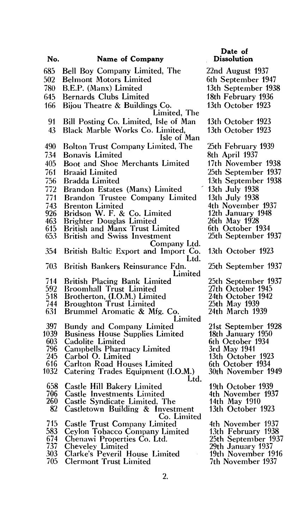| No.         | Name of Company                                                          | Date of<br><b>Dissolution</b>           |
|-------------|--------------------------------------------------------------------------|-----------------------------------------|
| 685         | Bell Boy Company Limited, The                                            | 22nd August 1937                        |
| 502         | <b>Belmont Motors Limited</b>                                            | 6th September 1947                      |
| 780         | B.E.P. (Manx) Limited                                                    | 13th September 1938                     |
| 645         | <b>Bernards Clubs Limited</b>                                            | 18th February 1936                      |
| 166         | Bijou Theatre & Buildings Co.<br>Limited, The                            | 13th October 1923                       |
| 91          | Bill Posting Co. Limited, Isle of Man                                    | 13th October 1923                       |
| 43          | Black Marble Works Co. Limited,<br>Isle of Man                           | 13th October 1923                       |
| 490         | <b>Bolton Trust Company Limited, The</b>                                 | 25th February 1939                      |
| 734         | <b>Bonavis Limited</b>                                                   | 8th April 1937                          |
| 405         | Boot and Shoe Merchants Limited                                          | 17th November 1938                      |
| 761         | <b>Braaid Limited</b>                                                    | 25th September 1937                     |
| 756         | <b>Bradda Limited</b>                                                    | 13th September 1938                     |
| 772         | Brandon Estates (Manx) Limited                                           | 13th July 1938                          |
| 771         | Brandon Trustee Company Limited                                          | 13th July 1938                          |
| 743         | <b>Brenton Limited</b>                                                   | 4th November 1937                       |
| 926         | Bridson W. F. & Co. Limited                                              | 12th January 1948                       |
| 463<br>615  | <b>Brighter Douglas Limited</b><br><b>British and Manx Trust Limited</b> | 26th May 1928<br>6th October 1934       |
| 653         | <b>British and Swiss Investment</b>                                      | 25th September 1937                     |
| 354         | Company Ltd.<br>British Baltic Export and Import Co.                     | 13th October 1923                       |
| 703         | Ltd.<br>British Bankers Reinsurance Fdn.<br>Limited                      | 25th September 1937                     |
| 714         | British Placing Bank Limited                                             | 25th September 1937                     |
| 592         | <b>Broomhall Trust Limited</b>                                           | 27th October 1945                       |
| 518         | Brotherton, (I.O.M.) Limited                                             | 24th October 1942                       |
| 744         | <b>Broughton Trust Limited</b>                                           | 25th May 1939                           |
| 631         | Brummel Aromatic & Mfg. Co.<br>Limited                                   | 24th March 1939                         |
| 397         | Bundy and Company Limited                                                | 21st September 1928                     |
| 1039<br>603 | <b>Business House Supplies Limited</b><br>Cadolite Limited               | 18th January 1950<br>6th October 1934   |
| 796         | Campbells Pharmacy Limited                                               | 3rd May 1941                            |
| 245         | Carbol O. Limited                                                        | 13th October 1923                       |
| 616         | <b>Carlton Road Houses Limited</b>                                       | 6th October 1934                        |
| 1032        | Catering Trades Equipment (I.O.M.)<br>Ltd.                               | 30th November 1949                      |
| 658         | Castle Hill Bakery Limited                                               | 19th October 1939                       |
| 706<br>260  | <b>Castle Investments Limited</b>                                        | 4th November 1937                       |
| 82          | Castle Syndicate Limited, The<br>Castletown Building & Investment        | 14th May 1910<br>13th October 1923      |
|             | Co. Limited                                                              |                                         |
| 715         | <b>Castle Trust Company Limited</b>                                      | 4th November 1937                       |
| 583         | Ceylon Tobacco Company Limited                                           | 13th February 1938                      |
| 674         | Chenawi Properties Co. Ltd.                                              | 25th September 1937                     |
| 737<br>303  | Cheveley Limited                                                         | 29th January 1937<br>19th November 1916 |
| 705         | Clarke's Peveril House Limited<br><b>Clermont Trust Limited</b>          | 7th November 1937                       |
|             |                                                                          |                                         |
|             | 2.                                                                       |                                         |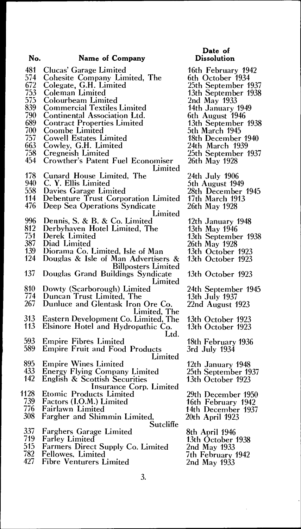## **No. Name of Company**

- 481 Clucas' Garage Limited<br>574 Cohesite Company Lin
- 574 Cohesite Company Limited, The<br>672 Colegate, G.H. Limited
- 672 Colegate, G.H. Limited
- 753 Coleman Limited
- 753 Coleman Limited<br>575 Colourbeam Limited<br>839 Commercial Textiles
- 839 Commercial Textiles Limited
- 
- 790 Continental Association Ltd. 689 Contract Properties Limited
- 700 Coombe Limited
- 757 Cowell Estates Limited
- 663 Cowley, G.H. Limited<br>758 Cregneish Limited
- 758 Cregneish Limited
- 454 Crowther's Patent Fuel Economiser Limited
- 178 Cunard House Limited, The<br>940 C. Y. Ellis Limited
- 940 C. Y. Ellis Limited
- 558 Davies Garage Limited<br>114 Debenture Trust Corpo
- 114 Debenture Trust Corporation Limited
- Deep Sea Operations Syndicate
	- Limited
- 996 Dennis, S. & B. & Co. Limited
- 812 Derbyhaven Hotel Limited, The<br>751 Derek Limited
- 751 Derek Limited
- 387 Diad Limited
- 139 Diorama Co. Limited, Isle of Man
- Douglas & Isle of Man Advertisers & Billposters Limited
- 137 Douglas Grand Buildings Syndicate Limited
- 810 Dowty (Scarborough) Limited
- 774 Duncan Trust Limited, The 774 Duncan Trust Limited, The<br>267 Dunluce and Glentask Iron Ore Co.
- Limited, The
- 313 Eastern Development Co. Limited, The
- Elsinore Hotel and Hydropathic Co. Ltd.
- 593 Empire Fibres Limited<br>589 Empire Fruit and Food
- 589 Empire Fruit and Food Products Limited
- 895 Empire Wines Limited<br>433 Energy Flying Compan
- 433 Energy Flying Company Limited<br>142 English & Scottish Securities
- English & Scottish Securities
- Insurance Corp. Limited
- 1128 Etomic Products Limited<br>739 Factors (I.O.M.) Limited<br>776 Fairlawn Limited Factors (I.O.M.) Limited
	- 776 Fairlawn Limited
- Fargher and Shimmin Limited, **Sutcliffe**
- 337 Farghers Garage Limited<br>719 Farley Limited
- 719 Farley Limited
- 515 Farmers Direct Supply Co. Limited
- 782 Fellowes, Limited
- Fibre Venturers Limited

# **Date of Dissolution**

- 16th February 1942 6th October 1934 25th September 1937 13th September 1938 2nd May 1933 14th January 1949 6th August 1946 13th September 1938 5th March 1945 18th December 1940 24th March 1939 25th September 1937 26th May 1928 24th July 1906 5th August 1949 28th December 1945 17th March 1913 26th May 1928 12th January 1948 13th May 1946 13th September 1938 26th May 1928 13th October 1923 13th October 1923 13th October 1923
- 24th September 1945 13th July 1937
- 22nd August 1923
- 13th October 1923 13th October 1923

18th February 1936 3rd July 1934

- 12th January 1948 25th September 1937 13th October 1923
- 29th December 1950 16th February 1942 14th December 1937 20th April 1923
- 8th April 1946 13th October 1938 2nd May 1933 7th February 1942 2nd May 1933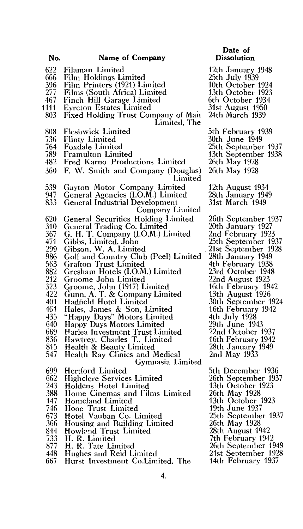- 622 Filaman Limited<br>666 Film Holdings Li
- 
- 396 Film Printers (1921) Limited
- 666 Film Holdings Limited<br>396 Film Printers (1921) Li<br>277 Films (South Africa) Li 277 Films (South Africa) Limited
- 467 Finch **Hill** Garage Limited
- 111 **Eyreton Estates Limited**<br>803 Fixed Holding Trust Cor
- Fixed Holding Trust Company of Man Limited, The
- 808 Fleshwick Limited
- 736 Flinty Limited
- 764 Foxdale Limited
- 789 Framulton Limited
- Fred Karno Productions Limited
- 360 F. W. Smith and Company (Douglas) Limited
- 539 Gayton Motor Company Limited
- 947 General Agencies (I.O.M.) Limited<br>833 General Industrial Development
- General Industrial Development
	- Company Limited
- 620 General Securities Holding Limited
- 310 General Trading Co. Limited
- 367 G. H. **T.** Company (I.O.M.) Limited
- 471 Gibbs, Limited, John
- 299 Gibson, W. A. Limited
- 986 Golf and Country Club (Peel) Limited<br>563 Grafton Trust Limited
- 563 Grafton Trust Limited<br>882 Gresham Hotels (LO.M
- 882 Gresham Hotels (I.O.M.) Limited<br>212 Groome John Limited
- 212 Groome John Limited<br>323 Groome, John (1917) L
- 323 Groome, John (1917) Limited
- 422 Gunn, A. T. & Company Limited
- 401 Hadfield Hotel Limited<br>461 Hales, James & Son, L
- 461 Hales, James & Son, Limited
- 435 "Happy Days" Motors Limited
- 640 Happy Days Motors Limited
- 669 Harlea Investment Trust Limited
- 836 Hawtrey, Charles T., Limited
- 815 Health & Beauty Limited
- 547 Health Ray Clinics and Medical Gymnasia Limited
- 699 Hertford Limited
- 662 Highclere Services Limited<br>243 Holdens Hotel Limited
- 243 Holdens Hotel Limited<br>388 Home Cinemas and Fil
- 388 Home Cinemas and Films Limited<br>147 Homeland Limited
- 147 Homeland Limited<br>746 Hooe Trust Limite
- 746 Hooe Trust Limited
- 673 Hotel Vauban Co. Limited
- 366 Housing and Building Limited
- 844 Howland Trust Limited<br>733 H. R. Limited
- 733 H. R. Limited
- 877 H. R. Tate Limited<br>448 Hughes and Reid L
- 448 Hughes and Reid Limited<br>667 Hurst Investment Co.Lim
- Hurst Investment Co.Limited, The
- **Date of Dissolution**
- 12th January 1948 25th July 1939 10th October 1924 13th October 1923 6th October 1934
- 31st August 1950
- 24th March 1939
- 5th February 1939
- 30th June 1949
- 25th September 1937
- 13th September 1938
- 26th May 1928
- 26th May 1928
- 12th August 1934 28th January 1949 31st March 1949
- 26th September 1937 20th January 1927 2nd February 1923 25th September 1937 21st September 1928 28th January 1949 4th February 1938 23rd October 1948 22nd August 1923 16th February 1942 13th August 1926 30th September 1924 16th February 1942 4th July 1928 29th June 1943 22nd October 1937 16th February 1942 28th January 1949
- 2nd May 1933
- 5th December 1936 26th September 1937 13th October 1923 26th May 1928 13th October 1923 19th June 1937 25th September 1937 26th May 1928 28th August 1942
- 7th February 1942
- 26th September 1949
- 21st September 1928
- 14th February 1937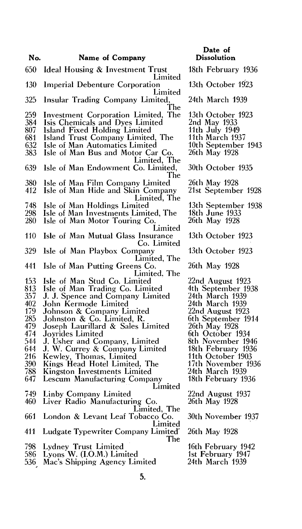- 650 Ideal Housing *&* Investment Trust Limited 130 Imperial Debenture Corporation Limited 325 Insular Trading Company Limited, The 259 Investment Corporation Limited, The 384 Isis Chemicals and Dyes Limited 807 Island Fixed Holding Limited 681 Island Trust Company Limited, The<br>632 Isle of Man Automatics Limited 632 Isle of Man Automatics Limited Isle of Man Bus and Motor Car Co. Limited, The 639 Isle of Man Endowment Co. Limited, The 380 Isle of Man Film Company Limited 412 Isle of Man Hide and Skin Company Limited, The 748 Isle of Man Holdings Limited 298 Isle of Man Investments Limited, The Isle of Man Motor Touring Co. Limited 110 Isle of Man Mutual Glass Insurance Co. Limited 329 Isle of Man Playbox Company Limited, The 441 Isle of Man Putting Greens Co. Limited, The 153 Isle of Man Stud Co. Limited 813 Isle of Man Trading Co. Limited 813 Isle of Man Trading Co. Limited<br>357 J. J. Spence and Company Limited<br>402 John Kermode Limited 402 John Kermode Limited<br>179 Johnson & Company Li 179 Johnson & Company Limited 285 Johnston & Co. Limited, R. 479 Joseph Laurillard & Sales Limited 474 Joyrides Limited<br>544 J. Usher and Co 544 J. Usher and Company, Limited 644 **J.** W. Currey & Company Limited 216 Kewley, Thomas, Limited 390 Kings Head Hotel Limited., The 390 Kings Head Hotel Limited, T<br>788 Kingston Investments Limited<br>647 Lescum Manufacturing Compa Lescum Manufacturing Company Limited 749 Linby Company Limited Liver Radio Manufacturing Co. Limited, The 661 London & Levant Leaf Tobacco Co. Limited 411 Ludgate Typewriter Company Limited' The 798 Lydney Trust Limited<br>586 Lyons W. (I.O.M.) Lim
- 586 Lyons W. (I.O.M.) Limited
- 536 Mac's Shipping Agency Limited

### **Date of Dissolution**

18th February 1936 13th October 1923 24th March 1939 13th October 1923 2nd May 1933 11th July 1949 11th March 1937 10th September 1943 26th May 1928 30th October 1935 26th May 1928 21st September 1928 13th September 1938 18th June 1933 26th May 1928 13th October 1923 13th October 1923 26th May 1928 22nd August 1923 4th September 1938 24th March 1939 24th March 1939 22nd August 1923 6th September 1914 26th May 1928 6th October 1934 8th November 1946 18th February 1936 11th October 1903 17th November 1936 24th March 1939 18th February 1936 22nd August 1937 26th May 1928 30th November 1937 26th May 1928

16th February 1942 1st February 1947 24th March 1939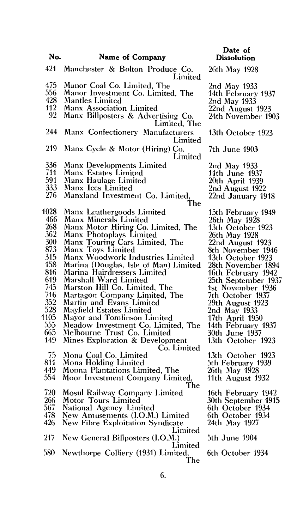| No.  | Name of Company                                | <b>Dissolution</b>  |
|------|------------------------------------------------|---------------------|
| 421  | Manchester & Bolton Produce Co.<br>Limited     | 26th May 1928       |
| 475  | Manor Coal Co. Limited, The                    | 2nd May 1933        |
| 556  | Manor Investment Co. Limited, The              | 14th February 1937  |
| 428  | <b>Mantles Limited</b>                         | 2nd May 1933        |
| 112  | <b>Manx Association Limited</b>                | 22nd August 1923    |
| 92   | Manx Billposters & Advertising Co.             | 24th November 1903  |
|      | Limited, The                                   |                     |
| 244  | Manx Confectionery Manufacturers               | 13th October 1923   |
|      | Limited                                        |                     |
| 219  | Manx Cycle & Motor (Hiring) Co.                | 7th June 1903       |
|      | Limited                                        |                     |
| 336  | <b>Manx Developments Limited</b>               | 2nd May 1933        |
| 711  | Manx Estates Limited                           | 11th June 1937      |
| 591  | Manx Haulage Limited                           | 20th April 1939     |
| 333  | Manx Ices Limited                              | 2nd August 1922     |
| 276  | Manxland Investment Co. Limited,               | 22nd January 1918   |
|      | The                                            |                     |
| 1028 | Manx Leathergoods Limited                      | 15th February 1949  |
| 466  | Manx Minerals Limited                          | 26th May 1928       |
| 268  | Manx Motor Hiring Co. Limited, The             | 13th October 1923   |
| 362  | Manx Photoplays Limited                        | 26th May 1928       |
| 300  | Manx Touring Cars Limited, The                 | 22nd August 1923    |
| 873  | Manx Toys Limited                              | 8th November 1946   |
| 315  | Manx Woodwork Industries Limited               | 13th October 1923   |
| 158  | Marina (Douglas, Isle of Man) Limited          | 28th November 1894  |
| 816  | Marina Hairdressers Limited                    | 16th February 1942  |
| 619  | Marshall Ward Limited                          | 25th September 1937 |
| 745  | Marston Hill Co. Limited, The                  | 1st November 1936   |
| 716  | Martagon Company Limited, The                  | 7th October 1937    |
| 352  | Martin and Evans Limited                       | 29th August 1923    |
| 528  | Mayfield Estates Limited                       | 2nd May 1933        |
| 1105 | Mayor and Tomlinson Limited                    | 17th April 1950     |
| 555  | Meadow Investment Co. Limited, The             | 14th February 1937  |
| 665  | Melbourne Trust Co. Limited                    | 30th June 1937      |
| 149  | Mines Exploration & Development<br>Co. Limited | 13th October 1923   |
| 75   | Mona Coal Co. Limited                          | 13th October 1923   |
| 811  | Mona Holding Limited                           | 5th February 1939   |
| 449  | Monna Plantations Limited, The                 | 26th May 1928       |
| 554  | Moor Investment Company Limited,               | 11th August 1932    |
|      | The                                            |                     |
| 720  | <b>Mosul Railway Company Limited</b>           | 16th February 1942  |
| 266  | Motor Tours Limited                            | 30th September 1915 |
| 567  | National Agency Limited                        | 6th October 1934    |
| 478  | New Amusements (I.O.M.) Limited                | 6th October 1934    |
| 426  | <b>New Fibre Exploitation Syndicate</b>        | 24th May 1927       |
|      | Limited                                        |                     |
| 217  | New General Billposters (I.O.M.)               | 5th June 1904       |
| 580  | Limited<br>Newthorpe Colliery (1931) Limited,  | 6th October 1934    |
|      | The                                            |                     |

**Date of**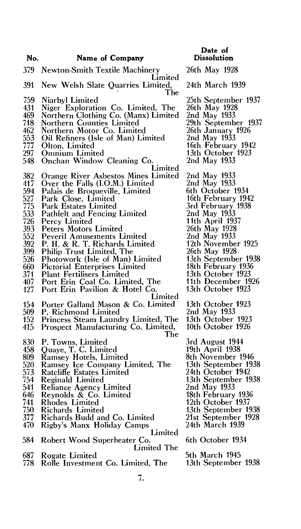**No. Name of Company**  379 Newton-Smith Textile Machinery Limited 391 New Welsh Slate Quarries Limited, The 759 Niarbyl Limited 431 Niger Exploration Co. Limited, The 469 Northern Clothing Co. (Manx) Limited 718 Northern Counties Limited<br>462 Northern Motor Co. Limite 462 Northern Motor Co. Limited 553 Oil Refiners (Isle of Man) Limited 553 Oil Refiners (I:<br>777 Olton, Limited<br>297 Omnium Limit 297 Omnium Limited 548 Onchan Window Cleaning Co. Limited 382 Orange River Asbestos Mines Limited 417 Over the Falls (I.O.M.) Limited<br>594 Palais de Broqueville, Limited 594 Palais de Broqueville, Limited<br>527 Park Close, Limited<br>775 Park Estates Limited<br>533 Pathfelt and Fencing Limited Park Close, Limited Park Estates Limited 533 Pathfelt and Fencing Limited<br>726 Percy Limited 726 Percy Limited 393 Peters Motors Limited 552 Peveril Amusements Limited<br>392 P. H. & R. T. Richards Limit 392 P. **H. &** R. T. Richards Limited 399 Philip Trust Limited, The<br>526 Photowork (Isle of Man) 526 Photowork (Isle of Man) Limited 660 Pictorial Enterprises Limited<br>371 Plant Fertilisers Limited 371 Plant Fertilisers Limited 407 Port Erin Coal Co. Limited, The<br>127 Port Erin Pavilion & Hotel Co. Port Erin Pavilion & Hotel Co. Limited 154 Porter Galland Mason & Co. Limited 509 P. Richmond Limited 152 Princess Steam Laundry Limited, The Prospect Manufacturing Co. Limited, The 830 P. Towns, Limited 458 Quaye, T. C. Limited 458 Quaye, T. C. Limited<br>809 Ramsey Hotels, Limited<br>520 Ramsey Ice Company L 520 Ramsey Ice Company Limited, The 573 Ratcliffe Estates Limited<br>754 Reginald Limited 754 Reginald Limited 541 Reliance Agency Limited 646 Reynolds  $\&$  Co. Limited 741 Rhodes Limited 750 Richards Limited 377 Richards Budd and Co. Limited Rigby's Manx Holiday Camps Limited 584 Robert Wood Superheater Co. Limited The 687 Rogate Limited **Dissolution**  26th May 1928 24th March 1939 25th September 1937 26th May 1928 2nd May 1933 29th September 1937 26th January 1926 2nd May 1933 16th February 1942 13th October 1923 2nd May 1933 2nd May 1933 2nd May 1933 6th October 1934 16th February 1942 3rd February 1938 2nd May 1933 11th April 1937 26th May 1928 2nd May 1933 12th November 1925 26th May 1928 13th September 1938 18th February 1936 13th October 1923 11th December 1926 13th October 1923 13th October 1923 2nd May 1933 13th October 1923 10th October 1926 3rd August 1944 19th April 1938 8th November 1946 13th September 1938 24th October 1942 13th September 1938 2nd May 1933 18th February 1936 12th October 1937 13th September 1938 21st September 1928 24th March 1939 6th October 1934 5th March 1945 13th September 1938

**Date of** 

Rolle Investment Co. Limited, The

7.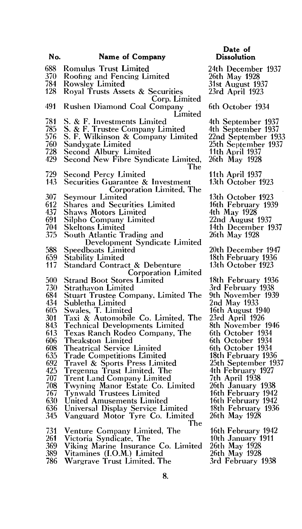| No. | <b>Name of Company</b>                       |                 |
|-----|----------------------------------------------|-----------------|
| 688 | <b>Romulus Trust Limited</b>                 | 24              |
| 370 | Roofing and Fencing Limited                  | 261             |
| 784 | Rowsley Limited                              | 31 <sub>5</sub> |
| 128 | Royal Trusts Assets & Securities             | 23 <sub>1</sub> |
|     | Corp. Limited                                |                 |
| 491 | Rushen Diamond Coal Company                  | 6tl             |
|     | Limited                                      |                 |
| 781 | S. & F. Investments Limited                  | 4t l            |
| 785 | S. & F. Trustee Company Limited              | 4tł             |
| 576 | S. F. Wilkinson & Company Limited            | 22 <sub>1</sub> |
| 760 | Sandygate Limited                            | 25 <sub>i</sub> |
| 728 | Second Albury Limited                        | 11              |
| 429 | Second New Fibre Syndicate Limited,          | 26 <sup>t</sup> |
|     | The                                          |                 |
| 729 | <b>Second Percy Limited</b>                  | 11 <sub>1</sub> |
| 143 |                                              | 13              |
|     | <b>Securities Guarantee &amp; Investment</b> |                 |
|     | Corporation Limited, The                     | 13 <sub>1</sub> |
| 307 | Seymour Limited                              | 16              |
| 612 | <b>Shares and Securities Limited</b>         |                 |
| 437 | Shaws Motors Limited                         | 4tl             |
| 691 | Silpho Company Limited                       | 22              |
| 704 | Skeltons Limited                             | 14 <sub>1</sub> |
| 375 | South Atlantic Trading and                   | 26              |
|     | Development Syndicate Limited                |                 |
| 588 | <b>Speedboats Limited</b>                    | 20              |
| 659 | <b>Stability Limited</b>                     | 18              |
| 117 | <b>Standard Contract &amp; Debenture</b>     | 13              |
|     | <b>Corporation Limited</b>                   |                 |
| 500 | <b>Strand Boot Stores Limited</b>            | 18              |
| 730 | <b>Strathavon Limited</b>                    | 3r              |
| 684 | Stuart Trustee Company, Limited The          | 9tl             |
| 434 | Subletha Limited                             | 2n              |
| 605 | Swales, T. Limited                           | 16              |
| 301 | Taxi & Automobile Co. Limited, The           | 23              |
| 843 | <b>Technical Developments Limited</b>        | 8tl             |
| 613 | Texas Ranch Rodeo Company, The               | 6t)             |
| 606 | Theakston Limited                            | 6tl             |
| 608 | Theatrical Service Limited                   | 6tl             |
| 635 | <b>Trade Competitions Limited</b>            | 18              |
| 692 | Travel & Sports Press Limited                | 25              |
| 425 | Tregenna Trust Limited, The                  | 4tl             |
| 707 | <b>Trent Land Company Limited</b>            | 7tl             |
| 708 | Twyning Manor Estate Co. Limited             | 26              |
| 767 | <b>Tynwald Trustees Limited</b>              | 16              |
| 630 | United Amusements Limited                    | 16              |
| 636 | Universal Display Service Limited            | 18              |
| 345 | Vanguard Motor Tyre Co. Limited              | 26              |
|     | The                                          |                 |
| 731 | Venture Company Limited, The                 | 16              |

**Dissolution**  h December 1937:

**Date of** 

th May 1928 st August 1937 rd April 1923

#### n October 1934

h September 1937 1 September 1937 22nd September 1933 25th September 1937 th April 1937 th May 1928

th April 1937 th October 1923

th October 1923 th February 1939 h May 1928 nd August 1937 th December 1937 th May 1928

th December 1947 th February 1936 th October 1923

- th February 1936 d February 1938 h November 1939 <sub>d</sub> May 1933 th August 1940 rd April 1926 h November 1946 h October 1934 h October 1934 h October 1934 th February 1936 th September 1937 4th February 1927 7th April 1938 th January 1938 th February 1942 th February 1942 th February 1936 th May 1928 16th February 1942
- 10th January 1911 26th May 1928 26th May 1928 3rd February 1938
- 
- 261 Victoria Syndicate, The
- 369 Viking Marine Insurance Co. Limited<br>389 Vitamines (I.O.M.) Limited
- 389 Vitamines (I.O.M.) Limited
- Wargrave Trust Limited, The
	- **8.**